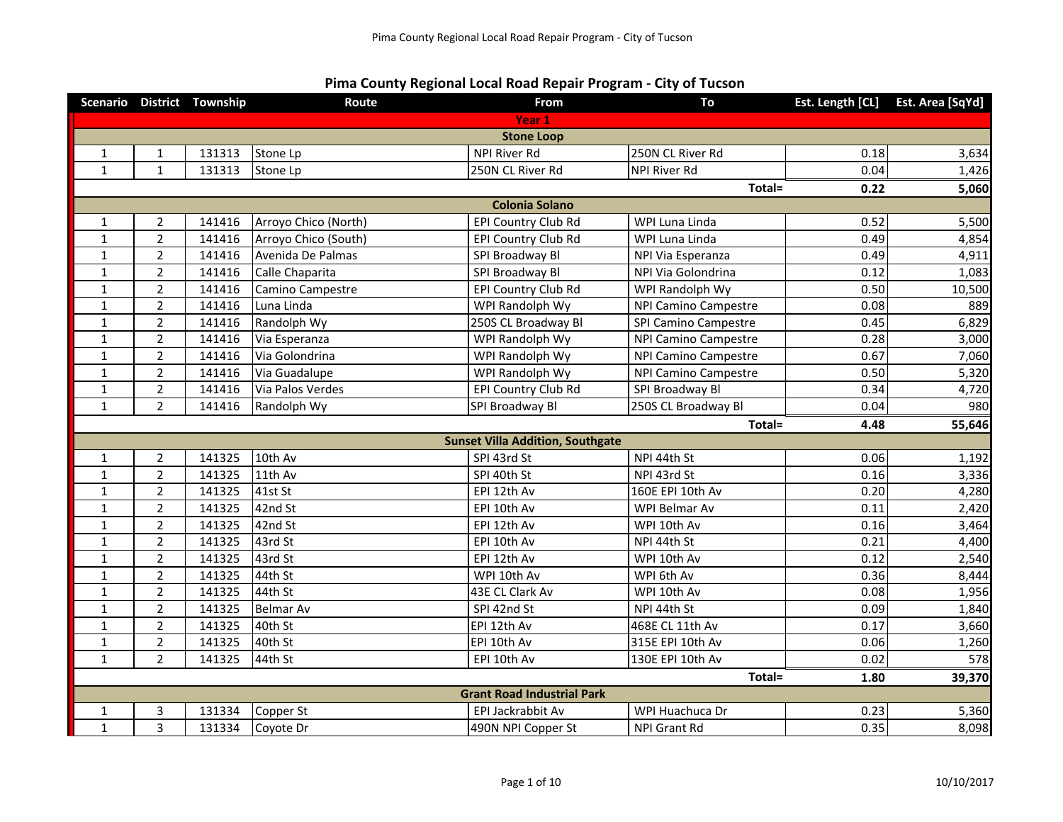## **Pima County Regional Local Road Repair Program - City of Tucson**

|              |                       | Scenario District Township | Route                | From                                    | To                          | Est. Length [CL] | Est. Area [SqYd] |  |
|--------------|-----------------------|----------------------------|----------------------|-----------------------------------------|-----------------------------|------------------|------------------|--|
|              |                       |                            |                      | Year 1                                  |                             |                  |                  |  |
|              |                       |                            |                      | <b>Stone Loop</b>                       |                             |                  |                  |  |
| $\mathbf{1}$ | $\mathbf{1}$          | 131313                     | Stone Lp             | <b>NPI River Rd</b>                     | 250N CL River Rd            | 0.18             | 3,634            |  |
| $\mathbf{1}$ | $\mathbf{1}$          | 131313                     | Stone Lp             | 250N CL River Rd                        | <b>NPI River Rd</b>         | 0.04             | 1,426            |  |
|              |                       |                            |                      |                                         | Total=                      | 0.22             | 5,060            |  |
|              | <b>Colonia Solano</b> |                            |                      |                                         |                             |                  |                  |  |
| $\mathbf{1}$ | $\overline{2}$        | 141416                     | Arroyo Chico (North) | EPI Country Club Rd                     | WPI Luna Linda              | 0.52             | 5,500            |  |
| $\mathbf{1}$ | $\overline{2}$        | 141416                     | Arroyo Chico (South) | EPI Country Club Rd                     | WPI Luna Linda              | 0.49             | 4,854            |  |
| $\mathbf{1}$ | $\overline{2}$        | 141416                     | Avenida De Palmas    | SPI Broadway Bl                         | NPI Via Esperanza           | 0.49             | 4,911            |  |
| $\mathbf 1$  | $\overline{2}$        | 141416                     | Calle Chaparita      | SPI Broadway Bl                         | NPI Via Golondrina          | 0.12             | 1,083            |  |
| $\mathbf{1}$ | $\overline{2}$        | 141416                     | Camino Campestre     | <b>EPI Country Club Rd</b>              | WPI Randolph Wy             | 0.50             | 10,500           |  |
| $\mathbf{1}$ | $\overline{2}$        | 141416                     | Luna Linda           | WPI Randolph Wy                         | <b>NPI Camino Campestre</b> | 0.08             | 889              |  |
| $\mathbf{1}$ | $\overline{2}$        | 141416                     | Randolph Wy          | 250S CL Broadway Bl                     | SPI Camino Campestre        | 0.45             | 6,829            |  |
| $\mathbf{1}$ | $\overline{2}$        | 141416                     | Via Esperanza        | WPI Randolph Wy                         | <b>NPI Camino Campestre</b> | 0.28             | 3,000            |  |
| $\mathbf 1$  | $\overline{2}$        | 141416                     | Via Golondrina       | WPI Randolph Wy                         | <b>NPI Camino Campestre</b> | 0.67             | 7,060            |  |
| $\mathbf{1}$ | $\overline{2}$        | 141416                     | Via Guadalupe        | WPI Randolph Wy                         | <b>NPI Camino Campestre</b> | 0.50             | 5,320            |  |
| $\mathbf 1$  | $\overline{2}$        | 141416                     | Via Palos Verdes     | EPI Country Club Rd                     | SPI Broadway Bl             | 0.34             | 4,720            |  |
| $\mathbf{1}$ | $\overline{2}$        | 141416                     | Randolph Wy          | SPI Broadway Bl                         | 250S CL Broadway Bl         | 0.04             | 980              |  |
|              |                       |                            |                      |                                         |                             |                  |                  |  |
|              |                       |                            |                      |                                         | Total=                      | 4.48             | 55,646           |  |
|              |                       |                            |                      | <b>Sunset Villa Addition, Southgate</b> |                             |                  |                  |  |
| 1            | $\overline{2}$        | 141325                     | 10th Av              | SPI 43rd St                             | NPI 44th St                 | 0.06             | 1,192            |  |
| $\mathbf 1$  | $\overline{2}$        | 141325                     | 11th Av              | SPI 40th St                             | NPI 43rd St                 | 0.16             | 3,336            |  |
| $\mathbf{1}$ | $\overline{2}$        | 141325                     | 41st St              | EPI 12th Av                             | 160E EPI 10th Av            | 0.20             | 4,280            |  |
| $\mathbf{1}$ | $\overline{2}$        | 141325                     | 42nd St              | EPI 10th Av                             | WPI Belmar Av               | 0.11             | 2,420            |  |
| $\mathbf{1}$ | $\overline{2}$        | 141325                     | 42nd St              | EPI 12th Av                             | WPI 10th Av                 | 0.16             | 3,464            |  |
| $\mathbf{1}$ | $\overline{2}$        | 141325                     | 43rd St              | EPI 10th Av                             | NPI 44th St                 | 0.21             | 4,400            |  |
| $\mathbf{1}$ | $\overline{2}$        | 141325                     | 43rd St              | EPI 12th Av                             | WPI 10th Av                 | 0.12             | 2,540            |  |
| $\mathbf{1}$ | $\overline{2}$        | 141325                     | 44th St              | WPI 10th Av                             | WPI 6th Av                  | 0.36             | 8,444            |  |
| $\mathbf{1}$ | $\overline{2}$        | 141325                     | 44th St              | 43E CL Clark Av                         | WPI 10th Av                 | 0.08             | 1,956            |  |
| $\mathbf{1}$ | $\overline{2}$        | 141325                     | <b>Belmar Av</b>     | SPI 42nd St                             | NPI 44th St                 | 0.09             | 1,840            |  |
| $\mathbf{1}$ | $\overline{2}$        | 141325                     | 40th St              | EPI 12th Av                             | 468E CL 11th Av             | 0.17             | 3,660            |  |
| $\mathbf{1}$ | $\overline{2}$        | 141325                     | 40th St              | EPI 10th Av                             | 315E EPI 10th Av            | 0.06             | 1,260            |  |
| $\mathbf{1}$ | $\overline{2}$        | 141325                     | 44th St              | EPI 10th Av                             | 130E EPI 10th Av            | 0.02             | 578              |  |
|              |                       |                            |                      |                                         | Total=                      | 1.80             | 39,370           |  |
|              |                       |                            |                      | <b>Grant Road Industrial Park</b>       |                             |                  |                  |  |
| 1            | 3                     | 131334                     | Copper St            | EPI Jackrabbit Av                       | WPI Huachuca Dr             | 0.23             | 5,360            |  |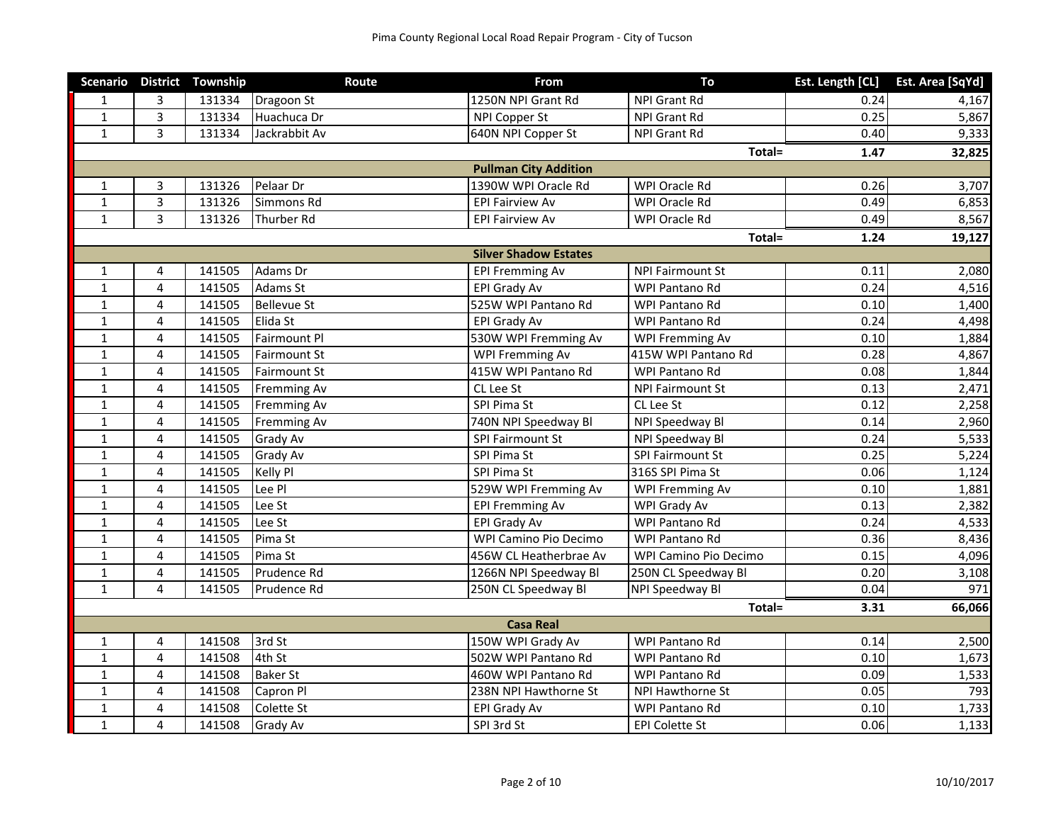|              |                         | Scenario District Township | Route              | From                         | To                      | Est. Length [CL] | Est. Area [SqYd] |
|--------------|-------------------------|----------------------------|--------------------|------------------------------|-------------------------|------------------|------------------|
| $\mathbf{1}$ | 3                       | 131334                     | Dragoon St         | 1250N NPI Grant Rd           | NPI Grant Rd            | 0.24             | 4,167            |
| $\mathbf{1}$ | $\overline{3}$          | 131334                     | Huachuca Dr        | NPI Copper St                | NPI Grant Rd            | 0.25             | 5,867            |
| $\mathbf{1}$ | 3                       | 131334                     | Jackrabbit Av      | 640N NPI Copper St           | <b>NPI Grant Rd</b>     | 0.40             | 9,333            |
|              |                         |                            |                    |                              | Total=                  | 1.47             | 32,825           |
|              |                         |                            |                    | <b>Pullman City Addition</b> |                         |                  |                  |
| $\mathbf{1}$ | 3                       | 131326                     | Pelaar Dr          | 1390W WPI Oracle Rd          | WPI Oracle Rd           | 0.26             | 3,707            |
| $\mathbf{1}$ | 3                       | 131326                     | Simmons Rd         | <b>EPI Fairview Av</b>       | WPI Oracle Rd           | 0.49             | 6,853            |
| $\mathbf{1}$ | 3                       | 131326                     | Thurber Rd         | <b>EPI Fairview Av</b>       | WPI Oracle Rd           | 0.49             | 8,567            |
|              |                         |                            |                    |                              | Total=                  | 1.24             | 19,127           |
|              |                         |                            |                    | <b>Silver Shadow Estates</b> |                         |                  |                  |
| $\mathbf{1}$ | 4                       | 141505                     | Adams Dr           | <b>EPI Fremming Av</b>       | <b>NPI Fairmount St</b> | 0.11             | 2,080            |
| $\mathbf{1}$ | 4                       | 141505                     | Adams St           | EPI Grady Av                 | <b>WPI Pantano Rd</b>   | 0.24             | 4,516            |
| $\mathbf{1}$ | 4                       | 141505                     | <b>Bellevue St</b> | 525W WPI Pantano Rd          | WPI Pantano Rd          | 0.10             | 1,400            |
| $\mathbf{1}$ | 4                       | 141505                     | Elida St           | EPI Grady Av                 | WPI Pantano Rd          | 0.24             | 4,498            |
| $\mathbf{1}$ | 4                       | 141505                     | Fairmount Pl       | 530W WPI Fremming Av         | <b>WPI Fremming Av</b>  | 0.10             | 1,884            |
| $\mathbf{1}$ | 4                       | 141505                     | Fairmount St       | <b>WPI Fremming Av</b>       | 415W WPI Pantano Rd     | 0.28             | 4,867            |
| $\mathbf{1}$ | 4                       | 141505                     | Fairmount St       | 415W WPI Pantano Rd          | WPI Pantano Rd          | 0.08             | 1,844            |
| $\mathbf{1}$ | 4                       | 141505                     | <b>Fremming Av</b> | CL Lee St                    | <b>NPI Fairmount St</b> | 0.13             | 2,471            |
| $\mathbf{1}$ | $\overline{\mathbf{4}}$ | 141505                     | <b>Fremming Av</b> | SPI Pima St                  | CL Lee St               | 0.12             | 2,258            |
| $\mathbf{1}$ | 4                       | 141505                     | <b>Fremming Av</b> | 740N NPI Speedway Bl         | NPI Speedway Bl         | 0.14             | 2,960            |
| $\mathbf{1}$ | 4                       | 141505                     | Grady Av           | SPI Fairmount St             | NPI Speedway Bl         | 0.24             | 5,533            |
| $\mathbf{1}$ | 4                       | 141505                     | <b>Grady Av</b>    | SPI Pima St                  | SPI Fairmount St        | 0.25             | 5,224            |
| $\mathbf{1}$ | 4                       | 141505                     | Kelly Pl           | SPI Pima St                  | 316S SPI Pima St        | 0.06             | 1,124            |
| $\mathbf{1}$ | $\overline{\mathbf{4}}$ | 141505                     | Lee Pl             | 529W WPI Fremming Av         | <b>WPI Fremming Av</b>  | 0.10             | 1,881            |
| $\mathbf{1}$ | 4                       | 141505                     | Lee St             | <b>EPI Fremming Av</b>       | WPI Grady Av            | 0.13             | 2,382            |
| $\mathbf{1}$ | 4                       | 141505                     | Lee St             | EPI Grady Av                 | WPI Pantano Rd          | 0.24             | 4,533            |
| $\mathbf{1}$ | 4                       | 141505                     | Pima St            | WPI Camino Pio Decimo        | WPI Pantano Rd          | 0.36             | 8,436            |
| $\mathbf{1}$ | $\overline{\mathbf{4}}$ | 141505                     | Pima St            | 456W CL Heatherbrae Av       | WPI Camino Pio Decimo   | 0.15             | 4,096            |
| $1\,$        | 4                       | 141505                     | Prudence Rd        | 1266N NPI Speedway Bl        | 250N CL Speedway Bl     | 0.20             | 3,108            |
| $\mathbf{1}$ | 4                       | 141505                     | Prudence Rd        | 250N CL Speedway Bl          | NPI Speedway Bl         | 0.04             | $\overline{971}$ |
|              |                         |                            |                    |                              | Total=                  | 3.31             | 66,066           |
|              |                         |                            |                    | <b>Casa Real</b>             |                         |                  |                  |
| $\mathbf{1}$ | 4                       | 141508                     | 3rd St             | 150W WPI Grady Av            | WPI Pantano Rd          | 0.14             | 2,500            |
| $\mathbf{1}$ | 4                       | 141508                     | 4th St             | 502W WPI Pantano Rd          | WPI Pantano Rd          | 0.10             | 1,673            |
| $\mathbf{1}$ | 4                       | 141508                     | <b>Baker St</b>    | 460W WPI Pantano Rd          | WPI Pantano Rd          | 0.09             | 1,533            |
| $\mathbf{1}$ | 4                       | 141508                     | Capron Pl          | 238N NPI Hawthorne St        | NPI Hawthorne St        | 0.05             | 793              |
| $1\,$        | 4                       | 141508                     | Colette St         | EPI Grady Av                 | WPI Pantano Rd          | 0.10             | 1,733            |
| $\mathbf{1}$ | $\overline{4}$          | 141508                     | Grady Av           | SPI 3rd St                   | <b>EPI Colette St</b>   | 0.06             | 1,133            |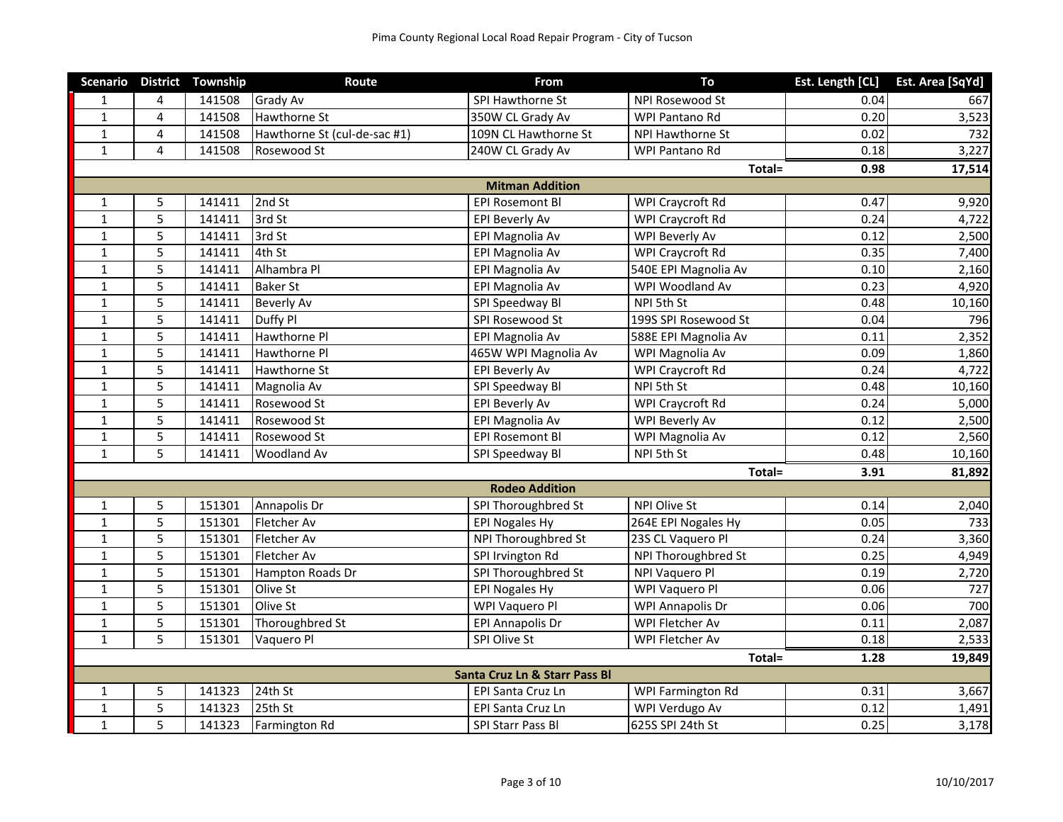|              |                | Scenario District Township | Route                        | From                          | To                   | Est. Length [CL] | Est. Area [SqYd] |
|--------------|----------------|----------------------------|------------------------------|-------------------------------|----------------------|------------------|------------------|
| $\mathbf{1}$ | 4              | 141508                     | <b>Grady Av</b>              | SPI Hawthorne St              | NPI Rosewood St      | 0.04             | 667              |
| $\mathbf{1}$ | 4              | 141508                     | Hawthorne St                 | 350W CL Grady Av              | WPI Pantano Rd       | 0.20             | 3,523            |
| $\mathbf{1}$ | 4              | 141508                     | Hawthorne St (cul-de-sac #1) | 109N CL Hawthorne St          | NPI Hawthorne St     | 0.02             | 732              |
| $\mathbf{1}$ | $\overline{4}$ | 141508                     | Rosewood St                  | 240W CL Grady Av              | WPI Pantano Rd       | 0.18             | 3,227            |
|              |                |                            |                              |                               | Total=               | 0.98             | 17,514           |
|              |                |                            |                              | <b>Mitman Addition</b>        |                      |                  |                  |
| $\mathbf{1}$ | 5              | 141411                     | 2nd St                       | <b>EPI Rosemont BI</b>        | WPI Craycroft Rd     | 0.47             | 9,920            |
| $\mathbf 1$  | 5              | 141411                     | 3rd St                       | <b>EPI Beverly Av</b>         | WPI Craycroft Rd     | 0.24             | 4,722            |
| $\mathbf 1$  | 5              | 141411                     | 3rd St                       | EPI Magnolia Av               | WPI Beverly Av       | 0.12             | 2,500            |
| $\mathbf{1}$ | 5              | 141411                     | 4th St                       | EPI Magnolia Av               | WPI Craycroft Rd     | 0.35             | 7,400            |
| $\mathbf{1}$ | 5              | 141411                     | Alhambra Pl                  | EPI Magnolia Av               | 540E EPI Magnolia Av | 0.10             | 2,160            |
| $\mathbf{1}$ | 5              | 141411                     | <b>Baker St</b>              | EPI Magnolia Av               | WPI Woodland Av      | 0.23             | 4,920            |
| $\mathbf{1}$ | 5              | 141411                     | <b>Beverly Av</b>            | SPI Speedway Bl               | NPI 5th St           | 0.48             | 10,160           |
| $\mathbf{1}$ | 5              | 141411                     | Duffy Pl                     | SPI Rosewood St               | 199S SPI Rosewood St | 0.04             | 796              |
| $\mathbf{1}$ | 5              | 141411                     | Hawthorne Pl                 | EPI Magnolia Av               | 588E EPI Magnolia Av | 0.11             | 2,352            |
| $\mathbf{1}$ | 5              | 141411                     | Hawthorne Pl                 | 465W WPI Magnolia Av          | WPI Magnolia Av      | 0.09             | 1,860            |
| $\mathbf{1}$ | 5              | 141411                     | <b>Hawthorne St</b>          | <b>EPI Beverly Av</b>         | WPI Craycroft Rd     | 0.24             | 4,722            |
| $\mathbf{1}$ | 5              | 141411                     | Magnolia Av                  | SPI Speedway Bl               | NPI 5th St           | 0.48             | 10,160           |
| $\mathbf{1}$ | 5              | 141411                     | Rosewood St                  | <b>EPI Beverly Av</b>         | WPI Craycroft Rd     | 0.24             | 5,000            |
| $\mathbf{1}$ | 5              | 141411                     | Rosewood St                  | EPI Magnolia Av               | WPI Beverly Av       | 0.12             | 2,500            |
| $\mathbf{1}$ | 5              | 141411                     | Rosewood St                  | <b>EPI Rosemont Bl</b>        | WPI Magnolia Av      | 0.12             | 2,560            |
| $\mathbf{1}$ | 5              | 141411                     | <b>Woodland Av</b>           | SPI Speedway Bl               | NPI 5th St           | 0.48             | 10,160           |
|              |                |                            |                              |                               | Total=               | 3.91             | 81,892           |
|              |                |                            |                              | <b>Rodeo Addition</b>         |                      |                  |                  |
| $\mathbf{1}$ | 5              | 151301                     | Annapolis Dr                 | SPI Thoroughbred St           | NPI Olive St         | 0.14             | 2,040            |
| $\mathbf{1}$ | 5              | 151301                     | Fletcher Av                  | <b>EPI Nogales Hy</b>         | 264E EPI Nogales Hy  | 0.05             | 733              |
| $\mathbf{1}$ | 5              | 151301                     | Fletcher Av                  | NPI Thoroughbred St           | 23S CL Vaquero Pl    | 0.24             | 3,360            |
| $1\,$        | 5              | 151301                     | Fletcher Av                  | SPI Irvington Rd              | NPI Thoroughbred St  | 0.25             | 4,949            |
| $\mathbf{1}$ | 5              | 151301                     | Hampton Roads Dr             | SPI Thoroughbred St           | NPI Vaquero Pl       | 0.19             | 2,720            |
| $\mathbf{1}$ | 5              | 151301                     | Olive St                     | <b>EPI Nogales Hy</b>         | WPI Vaquero Pl       | 0.06             | 727              |
| $\mathbf{1}$ | 5              | 151301                     | Olive St                     | WPI Vaquero Pl                | WPI Annapolis Dr     | 0.06             | 700              |
| $\mathbf{1}$ | 5              | 151301                     | Thoroughbred St              | <b>EPI Annapolis Dr</b>       | WPI Fletcher Av      | 0.11             | 2,087            |
| $\mathbf{1}$ | 5              | 151301                     | Vaquero Pl                   | SPI Olive St                  | WPI Fletcher Av      | 0.18             | 2,533            |
|              |                |                            |                              |                               | Total=               | 1.28             | 19,849           |
|              |                |                            |                              | Santa Cruz Ln & Starr Pass Bl |                      |                  |                  |
| $\mathbf{1}$ | 5              | 141323                     | 24th St                      | EPI Santa Cruz Ln             | WPI Farmington Rd    | 0.31             | 3,667            |
| $\mathbf{1}$ | 5              | 141323                     | 25th St                      | EPI Santa Cruz Ln             | WPI Verdugo Av       | 0.12             | 1,491            |
| $\mathbf{1}$ | 5              | 141323                     | Farmington Rd                | SPI Starr Pass Bl             | 625S SPI 24th St     | 0.25             | 3,178            |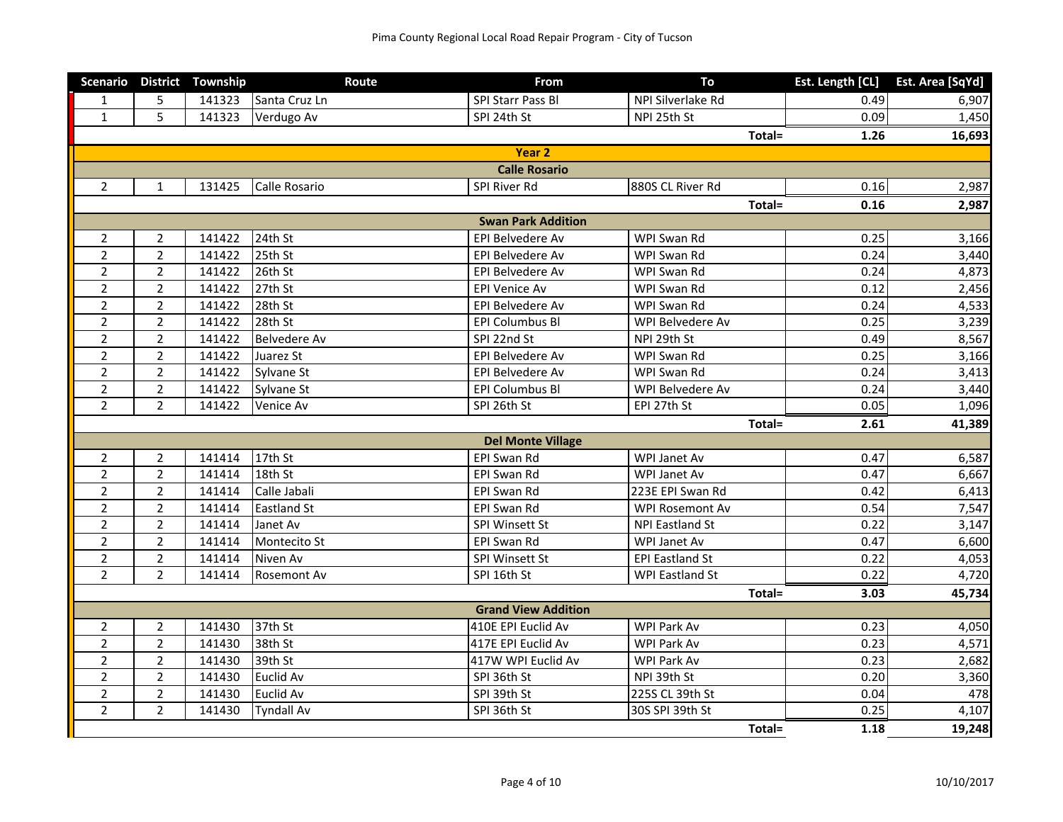|                |                | Scenario District Township | Route               | From                       | To                     | Est. Length [CL] | Est. Area [SqYd] |
|----------------|----------------|----------------------------|---------------------|----------------------------|------------------------|------------------|------------------|
| 1              | 5              | 141323                     | Santa Cruz Ln       | SPI Starr Pass Bl          | NPI Silverlake Rd      | 0.49             | 6,907            |
| $\mathbf{1}$   | 5              | 141323                     | Verdugo Av          | SPI 24th St                | NPI 25th St            | 0.09             | 1,450            |
|                |                |                            |                     |                            | Total=                 | 1.26             | 16,693           |
|                |                |                            |                     | Year <sub>2</sub>          |                        |                  |                  |
|                |                |                            |                     | <b>Calle Rosario</b>       |                        |                  |                  |
| $\overline{2}$ | $\mathbf{1}$   | 131425                     | Calle Rosario       | SPI River Rd               | 880S CL River Rd       | 0.16             | 2,987            |
|                |                |                            |                     |                            | Total=                 | 0.16             | 2,987            |
|                |                |                            |                     | <b>Swan Park Addition</b>  |                        |                  |                  |
| 2              | $\overline{2}$ | 141422                     | 24th St             | <b>EPI Belvedere Av</b>    | WPI Swan Rd            | 0.25             | 3,166            |
| $\overline{2}$ | $\overline{2}$ | 141422                     | 25th St             | EPI Belvedere Av           | WPI Swan Rd            | 0.24             | 3,440            |
| $\overline{2}$ | $\overline{2}$ | 141422                     | 26th St             | EPI Belvedere Av           | WPI Swan Rd            | 0.24             | 4,873            |
| $\overline{2}$ | $\overline{2}$ | 141422                     | 27th St             | <b>EPI Venice Av</b>       | WPI Swan Rd            | 0.12             | 2,456            |
| $\overline{2}$ | $\overline{2}$ | 141422                     | 28th St             | EPI Belvedere Av           | WPI Swan Rd            | 0.24             | 4,533            |
| $\overline{2}$ | $\overline{2}$ | 141422                     | 28th St             | EPI Columbus Bl            | WPI Belvedere Av       | 0.25             | 3,239            |
| $\overline{2}$ | $\overline{2}$ | 141422                     | <b>Belvedere Av</b> | SPI 22nd St                | NPI 29th St            | 0.49             | 8,567            |
| $\overline{2}$ | $\overline{2}$ | 141422                     | Juarez St           | EPI Belvedere Av           | WPI Swan Rd            | 0.25             | 3,166            |
| $\overline{2}$ | $\overline{2}$ | 141422                     | Sylvane St          | EPI Belvedere Av           | WPI Swan Rd            | 0.24             | 3,413            |
| $\overline{2}$ | $\overline{2}$ | 141422                     | Sylvane St          | <b>EPI Columbus BI</b>     | WPI Belvedere Av       | 0.24             | 3,440            |
| $\overline{2}$ | $\overline{2}$ | 141422                     | Venice Av           | SPI 26th St                | EPI 27th St            | 0.05             | 1,096            |
|                |                |                            |                     |                            | Total=                 | 2.61             | 41,389           |
|                |                |                            |                     | <b>Del Monte Village</b>   |                        |                  |                  |
| $\overline{2}$ | $\overline{2}$ | 141414                     | 17th St             | EPI Swan Rd                | WPI Janet Av           | 0.47             | 6,587            |
| $\overline{2}$ | $\overline{2}$ | 141414                     | 18th St             | EPI Swan Rd                | WPI Janet Av           | 0.47             | 6,667            |
| $\overline{2}$ | $\overline{2}$ | 141414                     | Calle Jabali        | EPI Swan Rd                | 223E EPI Swan Rd       | 0.42             | 6,413            |
| $\overline{2}$ | $\overline{2}$ | 141414                     | <b>Eastland St</b>  | EPI Swan Rd                | WPI Rosemont Av        | 0.54             | 7,547            |
| $\overline{2}$ | $\overline{2}$ | 141414                     | Janet Av            | SPI Winsett St             | <b>NPI Eastland St</b> | 0.22             | 3,147            |
| $\overline{2}$ | $\overline{2}$ | 141414                     | Montecito St        | EPI Swan Rd                | WPI Janet Av           | 0.47             | 6,600            |
| $\overline{2}$ | $\overline{2}$ | 141414                     | Niven Av            | SPI Winsett St             | <b>EPI Eastland St</b> | 0.22             | 4,053            |
| $\overline{2}$ | $\overline{2}$ | 141414                     | Rosemont Av         | SPI 16th St                | WPI Eastland St        | 0.22             | 4,720            |
|                |                |                            |                     |                            | Total=                 | 3.03             | 45,734           |
|                |                |                            |                     | <b>Grand View Addition</b> |                        |                  |                  |
| 2              | 2              | 141430                     | 37th St             | 410E EPI Euclid Av         | WPI Park Av            | 0.23             | 4,050            |
| $\overline{2}$ | $\overline{2}$ | 141430                     | 38th St             | 417E EPI Euclid Av         | WPI Park Av            | 0.23             | 4,571            |
| $\overline{2}$ | $\overline{2}$ | 141430                     | 39th St             | 417W WPI Euclid Av         | WPI Park Av            | 0.23             | 2,682            |
| $\overline{2}$ | $\overline{2}$ | 141430                     | Euclid Av           | SPI 36th St                | NPI 39th St            | 0.20             | 3,360            |
| $\overline{2}$ | $\overline{2}$ | 141430                     | <b>Euclid Av</b>    | SPI 39th St                | 225S CL 39th St        | 0.04             | 478              |
| $\overline{2}$ | $\overline{2}$ | 141430                     | <b>Tyndall Av</b>   | SPI 36th St                | 30S SPI 39th St        | 0.25             | 4,107            |
|                |                |                            |                     |                            | Total=                 | 1.18             | 19,248           |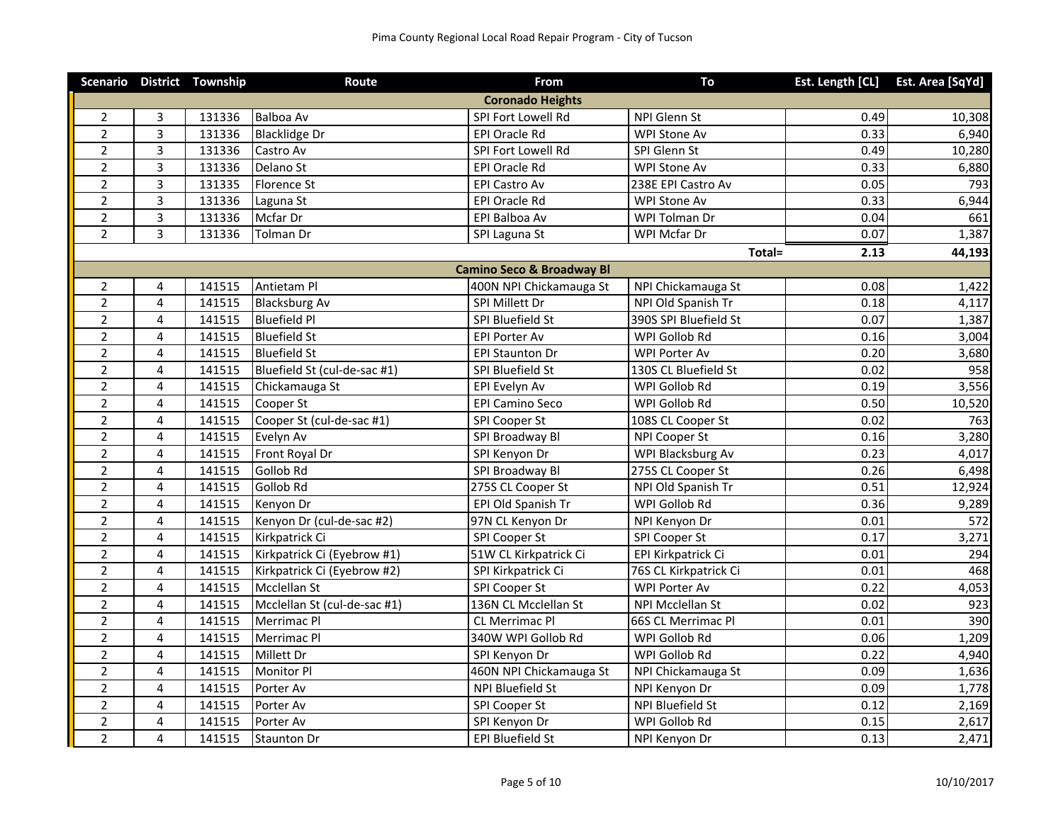|                |                | Scenario District Township | Route                        | From                                 | To                    |      | Est. Length [CL] Est. Area [SqYd] |
|----------------|----------------|----------------------------|------------------------------|--------------------------------------|-----------------------|------|-----------------------------------|
|                |                |                            |                              | <b>Coronado Heights</b>              |                       |      |                                   |
| $\overline{2}$ | 3              | 131336                     | Balboa Av                    | SPI Fort Lowell Rd                   | NPI Glenn St          | 0.49 | 10,308                            |
| $\overline{2}$ | 3              | 131336                     | <b>Blacklidge Dr</b>         | EPI Oracle Rd                        | WPI Stone Av          | 0.33 | 6,940                             |
| $\overline{2}$ | 3              | 131336                     | Castro Av                    | SPI Fort Lowell Rd                   | SPI Glenn St          | 0.49 | 10,280                            |
| $\overline{2}$ | 3              | 131336                     | Delano St                    | EPI Oracle Rd                        | <b>WPI Stone Av</b>   | 0.33 | 6,880                             |
| $\mathbf 2$    | $\overline{3}$ | 131335                     | <b>Florence St</b>           | EPI Castro Av                        | 238E EPI Castro Av    | 0.05 | 793                               |
| $\overline{2}$ | 3              | 131336                     | Laguna St                    | EPI Oracle Rd                        | WPI Stone Av          | 0.33 | 6,944                             |
| $\overline{2}$ | 3              | 131336                     | Mcfar Dr                     | EPI Balboa Av                        | WPI Tolman Dr         | 0.04 | 661                               |
| $\overline{2}$ | $\overline{3}$ | 131336                     | <b>Tolman Dr</b>             | SPI Laguna St                        | WPI Mcfar Dr          | 0.07 | 1,387                             |
|                |                |                            |                              |                                      | Total=                | 2.13 | 44,193                            |
|                |                |                            |                              | <b>Camino Seco &amp; Broadway Bl</b> |                       |      |                                   |
| $\mathbf 2$    | 4              | 141515                     | Antietam Pl                  | 400N NPI Chickamauga St              | NPI Chickamauga St    | 0.08 | 1,422                             |
| $\overline{2}$ | 4              | 141515                     | <b>Blacksburg Av</b>         | SPI Millett Dr                       | NPI Old Spanish Tr    | 0.18 | 4,117                             |
| $\mathbf 2$    | $\overline{4}$ | 141515                     | <b>Bluefield Pl</b>          | SPI Bluefield St                     | 390S SPI Bluefield St | 0.07 | 1,387                             |
| $\overline{2}$ | 4              | 141515                     | <b>Bluefield St</b>          | <b>EPI Porter Av</b>                 | WPI Gollob Rd         | 0.16 | 3,004                             |
| $\overline{2}$ | $\overline{4}$ | 141515                     | <b>Bluefield St</b>          | <b>EPI Staunton Dr</b>               | WPI Porter Av         | 0.20 | 3,680                             |
| $\overline{2}$ | 4              | 141515                     | Bluefield St (cul-de-sac #1) | SPI Bluefield St                     | 130S CL Bluefield St  | 0.02 | 958                               |
| $\overline{2}$ | $\overline{4}$ | 141515                     | Chickamauga St               | EPI Evelyn Av                        | WPI Gollob Rd         | 0.19 | 3,556                             |
| $\overline{2}$ | 4              | 141515                     | Cooper St                    | <b>EPI Camino Seco</b>               | WPI Gollob Rd         | 0.50 | 10,520                            |
| $\overline{2}$ | 4              | 141515                     | Cooper St (cul-de-sac #1)    | SPI Cooper St                        | 108S CL Cooper St     | 0.02 | 763                               |
| $\overline{2}$ | 4              | 141515                     | Evelyn Av                    | SPI Broadway Bl                      | NPI Cooper St         | 0.16 | 3,280                             |
| $\overline{2}$ | 4              | 141515                     | Front Royal Dr               | SPI Kenyon Dr                        | WPI Blacksburg Av     | 0.23 | 4,017                             |
| $\overline{2}$ | $\overline{4}$ | 141515                     | Gollob Rd                    | SPI Broadway Bl                      | 275S CL Cooper St     | 0.26 | 6,498                             |
| $\overline{2}$ | 4              | 141515                     | <b>Gollob Rd</b>             | 275S CL Cooper St                    | NPI Old Spanish Tr    | 0.51 | 12,924                            |
| $\overline{2}$ | 4              | 141515                     | Kenyon Dr                    | EPI Old Spanish Tr                   | WPI Gollob Rd         | 0.36 | 9,289                             |
| $\overline{2}$ | 4              | 141515                     | Kenyon Dr (cul-de-sac #2)    | 97N CL Kenyon Dr                     | NPI Kenyon Dr         | 0.01 | 572                               |
| $\overline{2}$ | 4              | 141515                     | Kirkpatrick Ci               | SPI Cooper St                        | SPI Cooper St         | 0.17 | 3,271                             |
| $\overline{2}$ | 4              | 141515                     | Kirkpatrick Ci (Eyebrow #1)  | 51W CL Kirkpatrick Ci                | EPI Kirkpatrick Ci    | 0.01 | 294                               |
| $\overline{2}$ | 4              | 141515                     | Kirkpatrick Ci (Eyebrow #2)  | SPI Kirkpatrick Ci                   | 76S CL Kirkpatrick Ci | 0.01 | 468                               |
| $\overline{2}$ | $\overline{4}$ | 141515                     | Mcclellan St                 | SPI Cooper St                        | WPI Porter Av         | 0.22 | 4,053                             |
| $\overline{2}$ | 4              | 141515                     | Mcclellan St (cul-de-sac #1) | 136N CL Mcclellan St                 | NPI Mcclellan St      | 0.02 | $\overline{923}$                  |
| $\overline{2}$ | $\overline{4}$ | 141515                     | Merrimac Pl                  | <b>CL Merrimac Pl</b>                | 66S CL Merrimac Pl    | 0.01 | 390                               |
| $\overline{2}$ | 4              | 141515                     | Merrimac Pl                  | 340W WPI Gollob Rd                   | WPI Gollob Rd         | 0.06 | 1,209                             |
| $\overline{2}$ | 4              | 141515                     | Millett Dr                   | SPI Kenyon Dr                        | WPI Gollob Rd         | 0.22 | 4,940                             |
| $\overline{2}$ | 4              | 141515                     | Monitor Pl                   | 460N NPI Chickamauga St              | NPI Chickamauga St    | 0.09 | 1,636                             |
| $\overline{2}$ | 4              | 141515                     | Porter Av                    | NPI Bluefield St                     | NPI Kenyon Dr         | 0.09 | 1,778                             |
| $\overline{2}$ | $\overline{4}$ | 141515                     | Porter Av                    | SPI Cooper St                        | NPI Bluefield St      | 0.12 | 2,169                             |
| $\overline{2}$ | 4              | 141515                     | Porter Av                    | SPI Kenyon Dr                        | WPI Gollob Rd         | 0.15 | 2,617                             |
| $\overline{c}$ | $\overline{4}$ | 141515                     | <b>Staunton Dr</b>           | <b>EPI Bluefield St</b>              | NPI Kenyon Dr         | 0.13 | 2,471                             |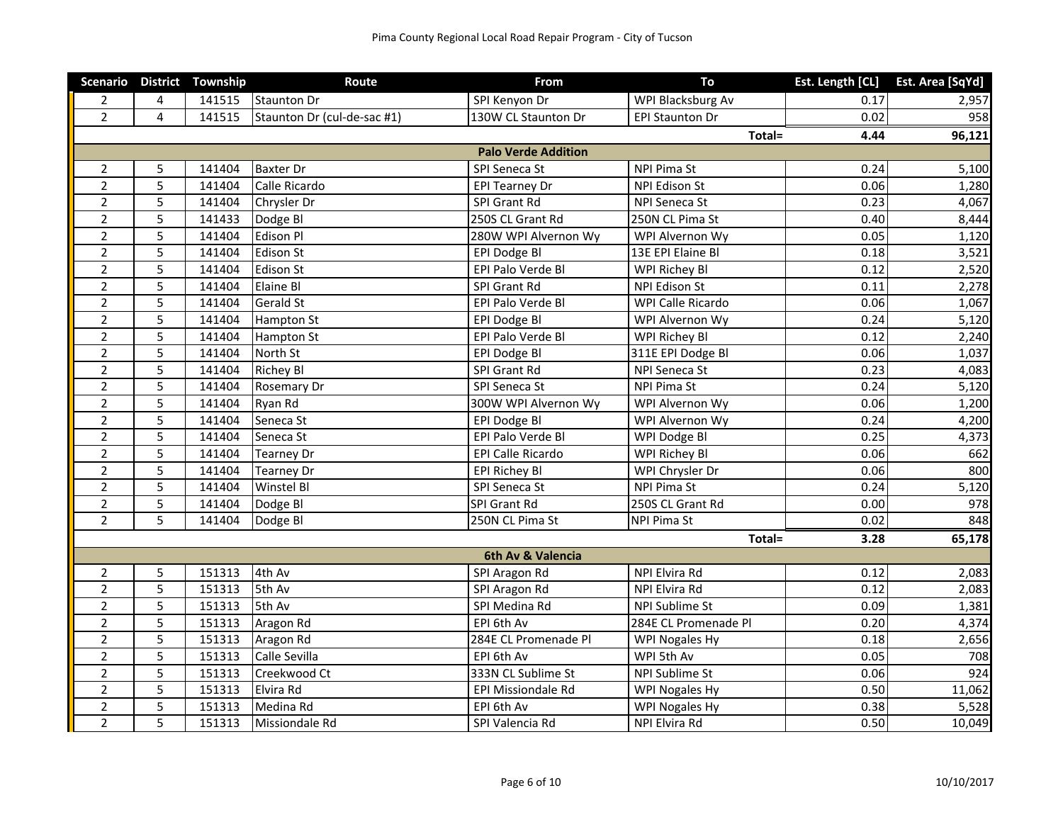|                |                | Scenario District Township | Route                       | From                       | To                     | Est. Length [CL] | Est. Area [SqYd] |
|----------------|----------------|----------------------------|-----------------------------|----------------------------|------------------------|------------------|------------------|
| $\overline{2}$ | 4              | 141515                     | <b>Staunton Dr</b>          | SPI Kenyon Dr              | WPI Blacksburg Av      | 0.17             | 2,957            |
| $\overline{2}$ | $\overline{4}$ | 141515                     | Staunton Dr (cul-de-sac #1) | 130W CL Staunton Dr        | <b>EPI Staunton Dr</b> | 0.02             | 958              |
|                |                |                            |                             |                            | Total=                 | 4.44             | 96,121           |
|                |                |                            |                             | <b>Palo Verde Addition</b> |                        |                  |                  |
| $\overline{2}$ | 5              | 141404                     | <b>Baxter Dr</b>            | SPI Seneca St              | NPI Pima St            | 0.24             | 5,100            |
| $\overline{2}$ | 5              | 141404                     | Calle Ricardo               | <b>EPI Tearney Dr</b>      | <b>NPI Edison St</b>   | 0.06             | 1,280            |
| $\overline{2}$ | 5              | 141404                     | Chrysler Dr                 | SPI Grant Rd               | NPI Seneca St          | 0.23             | 4,067            |
| $\overline{2}$ | 5              | 141433                     | Dodge Bl                    | 250S CL Grant Rd           | 250N CL Pima St        | 0.40             | 8,444            |
| $\overline{2}$ | 5              | 141404                     | <b>Edison Pl</b>            | 280W WPI Alvernon Wy       | WPI Alvernon Wy        | 0.05             | 1,120            |
| $\overline{2}$ | 5              | 141404                     | <b>Edison St</b>            | EPI Dodge Bl               | 13E EPI Elaine Bl      | 0.18             | 3,521            |
| $\overline{2}$ | 5              | 141404                     | <b>Edison St</b>            | EPI Palo Verde Bl          | WPI Richey Bl          | 0.12             | 2,520            |
| $\overline{2}$ | 5              | 141404                     | <b>Elaine Bl</b>            | SPI Grant Rd               | NPI Edison St          | 0.11             | 2,278            |
| $\overline{2}$ | 5              | 141404                     | <b>Gerald St</b>            | EPI Palo Verde Bl          | WPI Calle Ricardo      | 0.06             | 1,067            |
| $\overline{2}$ | 5              | 141404                     | <b>Hampton St</b>           | EPI Dodge Bl               | WPI Alvernon Wy        | 0.24             | 5,120            |
| $\overline{2}$ | 5              | 141404                     | <b>Hampton St</b>           | EPI Palo Verde Bl          | WPI Richey Bl          | 0.12             | 2,240            |
| $\overline{2}$ | 5              | 141404                     | North St                    | EPI Dodge Bl               | 311E EPI Dodge Bl      | 0.06             | 1,037            |
| $\overline{2}$ | 5              | 141404                     | <b>Richey Bl</b>            | SPI Grant Rd               | NPI Seneca St          | 0.23             | 4,083            |
| $\overline{2}$ | 5              | 141404                     | <b>Rosemary Dr</b>          | SPI Seneca St              | NPI Pima St            | 0.24             | 5,120            |
| $\overline{2}$ | 5              | 141404                     | Ryan Rd                     | 300W WPI Alvernon Wy       | WPI Alvernon Wy        | 0.06             | 1,200            |
| $\overline{2}$ | 5              | 141404                     | Seneca St                   | EPI Dodge Bl               | WPI Alvernon Wy        | 0.24             | 4,200            |
| $\overline{2}$ | 5              | 141404                     | Seneca St                   | EPI Palo Verde Bl          | WPI Dodge Bl           | 0.25             | 4,373            |
| $\overline{2}$ | 5              | 141404                     | <b>Tearney Dr</b>           | EPI Calle Ricardo          | WPI Richey Bl          | 0.06             | 662              |
| $\overline{2}$ | 5              | 141404                     | <b>Tearney Dr</b>           | <b>EPI Richey Bl</b>       | WPI Chrysler Dr        | 0.06             | 800              |
| $\overline{2}$ | 5              | 141404                     | Winstel BI                  | SPI Seneca St              | NPI Pima St            | 0.24             | 5,120            |
| $\overline{2}$ | 5              | 141404                     | Dodge BI                    | SPI Grant Rd               | 250S CL Grant Rd       | 0.00             | 978              |
| $\overline{2}$ | 5              | 141404                     | Dodge Bl                    | 250N CL Pima St            | <b>NPI Pima St</b>     | 0.02             | 848              |
|                |                |                            |                             |                            | Total=                 | 3.28             | 65,178           |
|                |                |                            |                             | 6th Av & Valencia          |                        |                  |                  |
| $\overline{2}$ | 5              | 151313                     | 4th Av                      | SPI Aragon Rd              | NPI Elvira Rd          | 0.12             | 2,083            |
| $\overline{2}$ | 5              | 151313                     | 5th Av                      | SPI Aragon Rd              | NPI Elvira Rd          | 0.12             | 2,083            |
| $\overline{2}$ | 5              | 151313                     | 5th Av                      | SPI Medina Rd              | NPI Sublime St         | 0.09             | 1,381            |
| $\overline{2}$ | 5              | 151313                     | Aragon Rd                   | EPI 6th Av                 | 284E CL Promenade Pl   | 0.20             | 4,374            |
| $\overline{2}$ | 5              | 151313                     | Aragon Rd                   | 284E CL Promenade Pl       | WPI Nogales Hy         | 0.18             | 2,656            |
| $\overline{2}$ | 5              | 151313                     | Calle Sevilla               | EPI 6th Av                 | WPI 5th Av             | 0.05             | 708              |
| $\overline{2}$ | 5              | 151313                     | Creekwood Ct                | 333N CL Sublime St         | NPI Sublime St         | 0.06             | 924              |
| $\overline{2}$ | 5              | 151313                     | Elvira Rd                   | EPI Missiondale Rd         | WPI Nogales Hy         | 0.50             | 11,062           |
| $\overline{2}$ | 5              | 151313                     | Medina Rd                   | EPI 6th Av                 | WPI Nogales Hy         | 0.38             | 5,528            |
| $\overline{2}$ | 5              | 151313                     | Missiondale Rd              | SPI Valencia Rd            | NPI Elvira Rd          | 0.50             | 10,049           |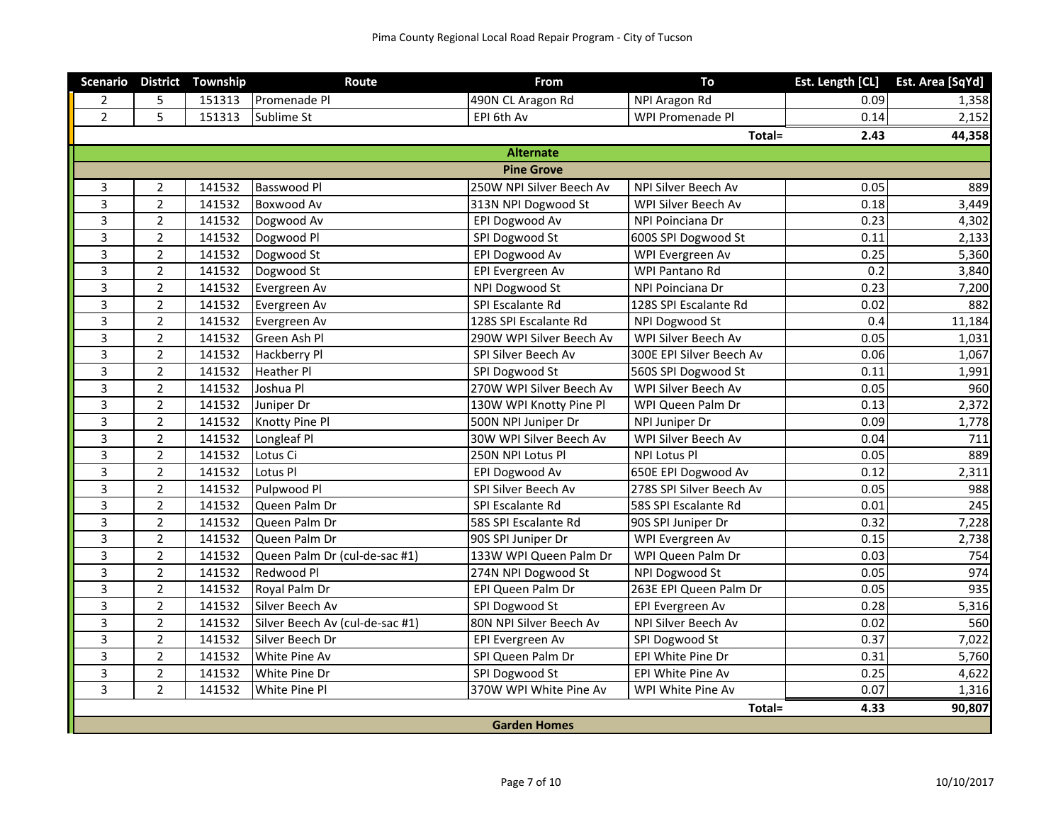|                     |                | Scenario District Township | Route                           | From                     | To                       | Est. Length [CL] | Est. Area [SqYd] |  |
|---------------------|----------------|----------------------------|---------------------------------|--------------------------|--------------------------|------------------|------------------|--|
| 2                   | 5              | 151313                     | Promenade Pl                    | 490N CL Aragon Rd        | NPI Aragon Rd            | 0.09             | 1,358            |  |
| $\overline{2}$      | 5              | 151313                     | Sublime St                      | EPI 6th Av               | WPI Promenade Pl         | 0.14             | 2,152            |  |
|                     |                |                            |                                 |                          | Total=                   | 2.43             | 44,358           |  |
|                     |                |                            |                                 | <b>Alternate</b>         |                          |                  |                  |  |
|                     |                |                            |                                 | <b>Pine Grove</b>        |                          |                  |                  |  |
| $\overline{3}$      | $\overline{2}$ | 141532                     | Basswood Pl                     | 250W NPI Silver Beech Av | NPI Silver Beech Av      | 0.05             | 889              |  |
| 3                   | $\overline{2}$ | 141532                     | <b>Boxwood Av</b>               | 313N NPI Dogwood St      | WPI Silver Beech Av      | 0.18             | 3,449            |  |
| $\overline{3}$      | $\overline{2}$ | 141532                     | Dogwood Av                      | EPI Dogwood Av           | NPI Poinciana Dr         | 0.23             | 4,302            |  |
| $\overline{3}$      | $\overline{2}$ | 141532                     | Dogwood Pl                      | SPI Dogwood St           | 600S SPI Dogwood St      | 0.11             | 2,133            |  |
| 3                   | $\overline{2}$ | 141532                     | Dogwood St                      | EPI Dogwood Av           | WPI Evergreen Av         | 0.25             | 5,360            |  |
| $\overline{3}$      | $\overline{2}$ | 141532                     | Dogwood St                      | EPI Evergreen Av         | WPI Pantano Rd           | 0.2              | 3,840            |  |
| 3                   | $\overline{2}$ | 141532                     | Evergreen Av                    | NPI Dogwood St           | NPI Poinciana Dr         | 0.23             | 7,200            |  |
| $\overline{3}$      | $\overline{2}$ | 141532                     | Evergreen Av                    | SPI Escalante Rd         | 128S SPI Escalante Rd    | 0.02             | 882              |  |
| $\overline{3}$      | $\overline{2}$ | 141532                     | Evergreen Av                    | 128S SPI Escalante Rd    | NPI Dogwood St           | 0.4              | 11,184           |  |
| $\overline{3}$      | $\overline{2}$ | 141532                     | Green Ash Pl                    | 290W WPI Silver Beech Av | WPI Silver Beech Av      | 0.05             | 1,031            |  |
| $\overline{3}$      | $\overline{2}$ | 141532                     | Hackberry Pl                    | SPI Silver Beech Av      | 300E EPI Silver Beech Av | 0.06             | 1,067            |  |
| 3                   | $\overline{2}$ | 141532                     | <b>Heather Pl</b>               | SPI Dogwood St           | 560S SPI Dogwood St      | 0.11             | 1,991            |  |
| 3                   | $\overline{2}$ | 141532                     | Joshua Pl                       | 270W WPI Silver Beech Av | WPI Silver Beech Av      | 0.05             | 960              |  |
| $\overline{3}$      | $\overline{2}$ | 141532                     | Juniper Dr                      | 130W WPI Knotty Pine Pl  | WPI Queen Palm Dr        | 0.13             | 2,372            |  |
| 3                   | $\overline{2}$ | 141532                     | Knotty Pine Pl                  | 500N NPI Juniper Dr      | NPI Juniper Dr           | 0.09             | 1,778            |  |
| $\overline{3}$      | $\overline{2}$ | 141532                     | Longleaf Pl                     | 30W WPI Silver Beech Av  | WPI Silver Beech Av      | 0.04             | 711              |  |
| 3                   | $\overline{2}$ | 141532                     | Lotus Ci                        | 250N NPI Lotus Pl        | NPI Lotus Pl             | 0.05             | 889              |  |
| $\overline{3}$      | $\overline{2}$ | 141532                     | Lotus Pl                        | EPI Dogwood Av           | 650E EPI Dogwood Av      | 0.12             | 2,311            |  |
| $\overline{3}$      | $\overline{2}$ | 141532                     | Pulpwood Pl                     | SPI Silver Beech Av      | 278S SPI Silver Beech Av | 0.05             | 988              |  |
| 3                   | $\overline{2}$ | 141532                     | Queen Palm Dr                   | SPI Escalante Rd         | 58S SPI Escalante Rd     | 0.01             | 245              |  |
| $\overline{3}$      | $\overline{2}$ | 141532                     | Queen Palm Dr                   | 58S SPI Escalante Rd     | 90S SPI Juniper Dr       | 0.32             | 7,228            |  |
| $\overline{3}$      | $\overline{2}$ | 141532                     | Queen Palm Dr                   | 90S SPI Juniper Dr       | WPI Evergreen Av         | 0.15             | 2,738            |  |
| $\overline{3}$      | $\overline{2}$ | 141532                     | Queen Palm Dr (cul-de-sac #1)   | 133W WPI Queen Palm Dr   | WPI Queen Palm Dr        | 0.03             | 754              |  |
| $\overline{3}$      | $\overline{2}$ | 141532                     | Redwood Pl                      | 274N NPI Dogwood St      | NPI Dogwood St           | 0.05             | 974              |  |
| 3                   | $\overline{2}$ | 141532                     | Royal Palm Dr                   | EPI Queen Palm Dr        | 263E EPI Queen Palm Dr   | 0.05             | 935              |  |
| $\overline{3}$      | $\overline{2}$ | 141532                     | Silver Beech Av                 | SPI Dogwood St           | EPI Evergreen Av         | 0.28             | 5,316            |  |
| 3                   | $\overline{2}$ | 141532                     | Silver Beech Av (cul-de-sac #1) | 80N NPI Silver Beech Av  | NPI Silver Beech Av      | 0.02             | 560              |  |
| $\overline{3}$      | $\overline{2}$ | 141532                     | Silver Beech Dr                 | EPI Evergreen Av         | SPI Dogwood St           | 0.37             | 7,022            |  |
| $\overline{3}$      | $\overline{2}$ | 141532                     | White Pine Av                   | SPI Queen Palm Dr        | EPI White Pine Dr        | 0.31             | 5,760            |  |
| 3                   | $\overline{2}$ | 141532                     | White Pine Dr                   | SPI Dogwood St           | EPI White Pine Av        | 0.25             | 4,622            |  |
| $\overline{3}$      | $\overline{2}$ | 141532                     | White Pine Pl                   | 370W WPI White Pine Av   | WPI White Pine Av        | 0.07             | 1,316            |  |
|                     |                |                            |                                 |                          | Total=                   | 4.33             | 90,807           |  |
| <b>Garden Homes</b> |                |                            |                                 |                          |                          |                  |                  |  |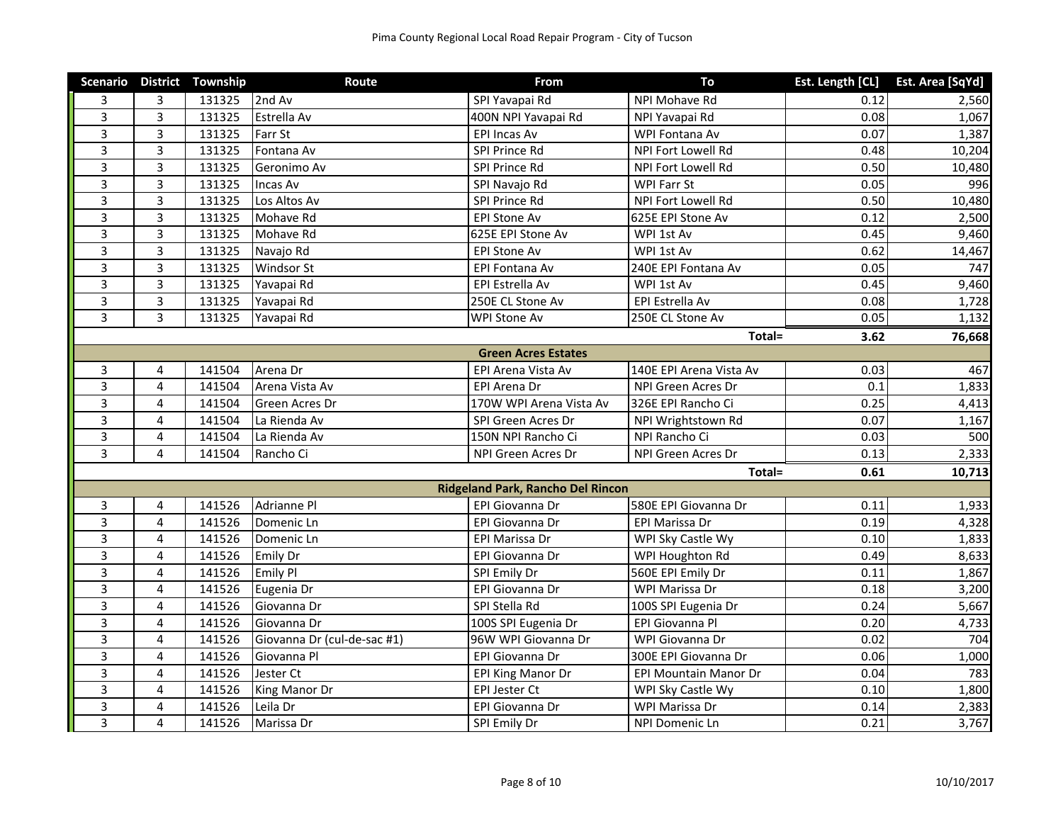|                         |                | Scenario District Township | Route                       | <b>From</b>                              | To                      |      | Est. Length [CL] Est. Area [SqYd] |
|-------------------------|----------------|----------------------------|-----------------------------|------------------------------------------|-------------------------|------|-----------------------------------|
| 3                       | 3              | 131325                     | 2nd Av                      | SPI Yavapai Rd                           | NPI Mohave Rd           | 0.12 | 2,560                             |
| $\overline{3}$          | 3              | 131325                     | Estrella Av                 | 400N NPI Yavapai Rd                      | NPI Yavapai Rd          | 0.08 | 1,067                             |
| $\overline{3}$          | $\overline{3}$ | 131325                     | Farr St                     | <b>EPI Incas Av</b>                      | WPI Fontana Av          | 0.07 | 1,387                             |
| 3                       | 3              | 131325                     | Fontana Av                  | SPI Prince Rd                            | NPI Fort Lowell Rd      | 0.48 | 10,204                            |
| 3                       | 3              | 131325                     | Geronimo Av                 | SPI Prince Rd                            | NPI Fort Lowell Rd      | 0.50 | 10,480                            |
| 3                       | 3              | 131325                     | Incas Av                    | SPI Navajo Rd                            | WPI Farr St             | 0.05 | 996                               |
| $\overline{3}$          | 3              | 131325                     | Los Altos Av                | SPI Prince Rd                            | NPI Fort Lowell Rd      | 0.50 | 10,480                            |
| $\overline{3}$          | $\overline{3}$ | 131325                     | Mohave Rd                   | <b>EPI Stone Av</b>                      | 625E EPI Stone Av       | 0.12 | 2,500                             |
| 3                       | 3              | 131325                     | Mohave Rd                   | 625E EPI Stone Av                        | WPI 1st Av              | 0.45 | 9,460                             |
| 3                       | 3              | 131325                     | Navajo Rd                   | EPI Stone Av                             | WPI 1st Av              | 0.62 | 14,467                            |
| 3                       | $\overline{3}$ | 131325                     | Windsor St                  | EPI Fontana Av                           | 240E EPI Fontana Av     | 0.05 | 747                               |
| $\overline{3}$          | 3              | 131325                     | Yavapai Rd                  | EPI Estrella Av                          | WPI 1st Av              | 0.45 | 9,460                             |
| $\overline{3}$          | $\overline{3}$ | 131325                     | Yavapai Rd                  | 250E CL Stone Av                         | EPI Estrella Av         | 0.08 | 1,728                             |
| $\overline{3}$          | 3              | 131325                     | Yavapai Rd                  | WPI Stone Av                             | 250E CL Stone Av        | 0.05 | 1,132                             |
|                         |                |                            |                             |                                          | Total=                  | 3.62 | 76,668                            |
|                         |                |                            |                             | <b>Green Acres Estates</b>               |                         |      |                                   |
| 3                       | 4              | 141504                     | Arena Dr                    | EPI Arena Vista Av                       | 140E EPI Arena Vista Av | 0.03 | 467                               |
| 3                       | 4              | 141504                     | Arena Vista Av              | EPI Arena Dr                             | NPI Green Acres Dr      | 0.1  | 1,833                             |
| $\overline{3}$          | $\overline{4}$ | 141504                     | <b>Green Acres Dr</b>       | 170W WPI Arena Vista Av                  | 326E EPI Rancho Ci      | 0.25 | 4,413                             |
| $\overline{3}$          | 4              | 141504                     | La Rienda Av                | SPI Green Acres Dr                       | NPI Wrightstown Rd      | 0.07 | 1,167                             |
| $\overline{\mathbf{3}}$ | 4              | 141504                     | La Rienda Av                | 150N NPI Rancho Ci                       | NPI Rancho Ci           | 0.03 | 500                               |
| $\overline{3}$          | 4              | 141504                     | Rancho Ci                   | NPI Green Acres Dr                       | NPI Green Acres Dr      | 0.13 | 2,333                             |
|                         |                |                            |                             |                                          | Total=                  | 0.61 | 10,713                            |
|                         |                |                            |                             | <b>Ridgeland Park, Rancho Del Rincon</b> |                         |      |                                   |
| $\mathbf{3}$            | 4              | 141526                     | Adrianne Pl                 | EPI Giovanna Dr                          | 580E EPI Giovanna Dr    | 0.11 | 1,933                             |
| 3                       | 4              | 141526                     | Domenic Ln                  | <b>EPI Giovanna Dr</b>                   | EPI Marissa Dr          | 0.19 | 4,328                             |
| $\overline{3}$          | 4              | 141526                     | Domenic Ln                  | EPI Marissa Dr                           | WPI Sky Castle Wy       | 0.10 | 1,833                             |
| 3                       | 4              | 141526                     | <b>Emily Dr</b>             | EPI Giovanna Dr                          | WPI Houghton Rd         | 0.49 | 8,633                             |
| 3                       | 4              | 141526                     | <b>Emily Pl</b>             | SPI Emily Dr                             | 560E EPI Emily Dr       | 0.11 | 1,867                             |
| 3                       | 4              | 141526                     | Eugenia Dr                  | EPI Giovanna Dr                          | WPI Marissa Dr          | 0.18 | 3,200                             |
| $\overline{3}$          | 4              | 141526                     | Giovanna Dr                 | SPI Stella Rd                            | 100S SPI Eugenia Dr     | 0.24 | 5,667                             |
| $\overline{3}$          | 4              | 141526                     | Giovanna Dr                 | 100S SPI Eugenia Dr                      | EPI Giovanna Pl         | 0.20 | 4,733                             |
| $\overline{\mathbf{3}}$ | 4              | 141526                     | Giovanna Dr (cul-de-sac #1) | 96W WPI Giovanna Dr                      | WPI Giovanna Dr         | 0.02 | 704                               |
| $\overline{3}$          | 4              | 141526                     | Giovanna Pl                 | EPI Giovanna Dr                          | 300E EPI Giovanna Dr    | 0.06 | 1,000                             |
| 3                       | 4              | 141526                     | Jester Ct                   | <b>EPI King Manor Dr</b>                 | EPI Mountain Manor Dr   | 0.04 | 783                               |
| 3                       | 4              | 141526                     | King Manor Dr               | EPI Jester Ct                            | WPI Sky Castle Wy       | 0.10 | 1,800                             |
| 3                       | 4              | 141526                     | Leila Dr                    | EPI Giovanna Dr                          | WPI Marissa Dr          | 0.14 | 2,383                             |
| $\overline{3}$          | $\overline{4}$ | 141526                     | Marissa Dr                  | SPI Emily Dr                             | NPI Domenic Ln          | 0.21 | 3,767                             |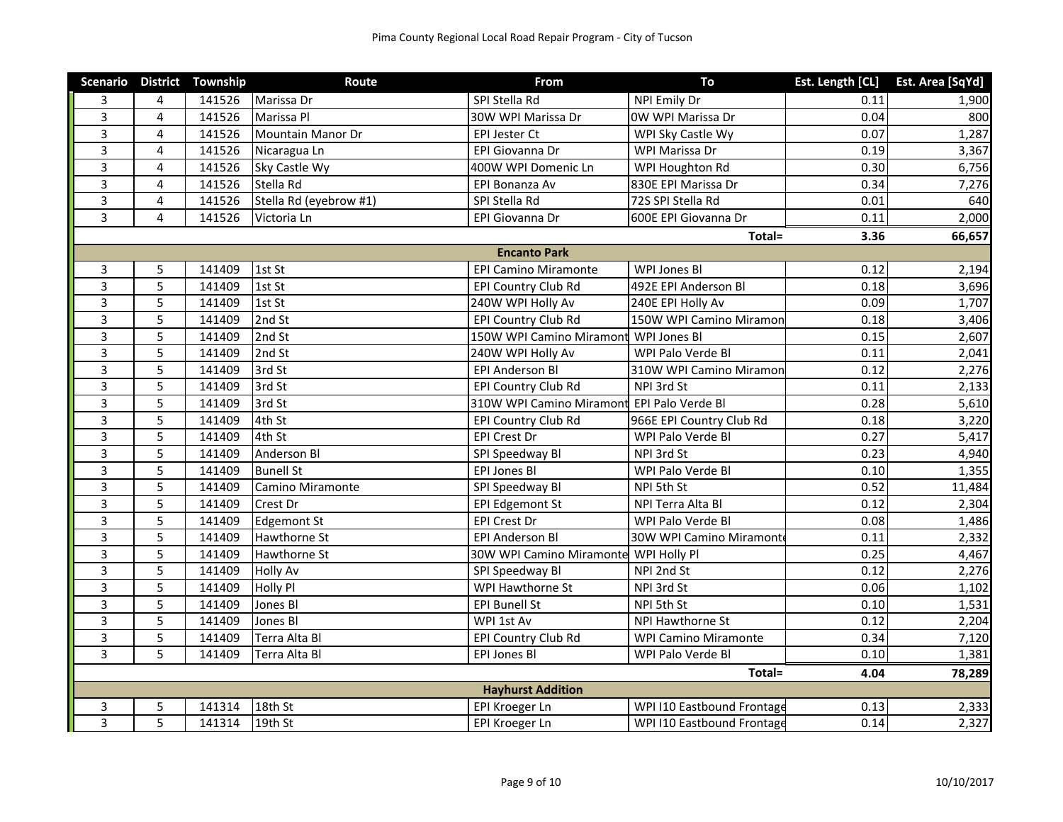|                |                | Scenario District Township | Route                   | <b>From</b>                                | To                          |      | Est. Length [CL] Est. Area [SqYd] |
|----------------|----------------|----------------------------|-------------------------|--------------------------------------------|-----------------------------|------|-----------------------------------|
| 3              | 4              | 141526                     | Marissa Dr              | SPI Stella Rd                              | NPI Emily Dr                | 0.11 | 1,900                             |
| 3              | $\overline{4}$ | 141526                     | Marissa Pl              | 30W WPI Marissa Dr                         | OW WPI Marissa Dr           | 0.04 | 800                               |
| $\overline{3}$ | $\overline{4}$ | 141526                     | Mountain Manor Dr       | EPI Jester Ct                              | WPI Sky Castle Wy           | 0.07 | 1,287                             |
| 3              | $\overline{4}$ | 141526                     | Nicaragua Ln            | EPI Giovanna Dr                            | WPI Marissa Dr              | 0.19 | 3,367                             |
| 3              | 4              | 141526                     | Sky Castle Wy           | 400W WPI Domenic Ln                        | WPI Houghton Rd             | 0.30 | 6,756                             |
| 3              | 4              | 141526                     | Stella Rd               | EPI Bonanza Av                             | 830E EPI Marissa Dr         | 0.34 | 7,276                             |
| $\overline{3}$ | 4              | 141526                     | Stella Rd (eyebrow #1)  | SPI Stella Rd                              | 72S SPI Stella Rd           | 0.01 | 640                               |
| $\overline{3}$ | 4              | 141526                     | Victoria Ln             | EPI Giovanna Dr                            | 600E EPI Giovanna Dr        | 0.11 | 2,000                             |
|                |                |                            |                         |                                            | Total=                      | 3.36 | 66,657                            |
|                |                |                            |                         | <b>Encanto Park</b>                        |                             |      |                                   |
| 3              | 5              | 141409                     | 1st St                  | <b>EPI Camino Miramonte</b>                | <b>WPI Jones Bl</b>         | 0.12 | 2,194                             |
| 3              | $\overline{5}$ | 141409                     | 1st St                  | EPI Country Club Rd                        | 492E EPI Anderson Bl        | 0.18 | 3,696                             |
| 3              | 5              | 141409                     | 1st St                  | 240W WPI Holly Av                          | 240E EPI Holly Av           | 0.09 | 1,707                             |
| 3              | 5              | 141409                     | 2nd St                  | EPI Country Club Rd                        | 150W WPI Camino Miramon     | 0.18 | 3,406                             |
| 3              | 5              | 141409                     | 2nd St                  | 150W WPI Camino Miramont                   | WPI Jones Bl                | 0.15 | 2,607                             |
| 3              | 5              | 141409                     | 2nd St                  | 240W WPI Holly Av                          | WPI Palo Verde Bl           | 0.11 | 2,041                             |
| 3              | 5              | 141409                     | 3rd St                  | <b>EPI Anderson Bl</b>                     | 310W WPI Camino Miramon     | 0.12 | 2,276                             |
| 3              | 5              | 141409                     | 3rd St                  | EPI Country Club Rd                        | NPI 3rd St                  | 0.11 | 2,133                             |
| $\overline{3}$ | 5              | 141409                     | 3rd St                  | 310W WPI Camino Miramont EPI Palo Verde Bl |                             | 0.28 | 5,610                             |
| $\overline{3}$ | 5              | 141409                     | 4th St                  | <b>EPI Country Club Rd</b>                 | 966E EPI Country Club Rd    | 0.18 | 3,220                             |
| 3              | 5              | 141409                     | 4th St                  | EPI Crest Dr                               | WPI Palo Verde Bl           | 0.27 | 5,417                             |
| 3              | 5              | 141409                     | Anderson Bl             | SPI Speedway Bl                            | NPI 3rd St                  | 0.23 | 4,940                             |
| 3              | 5              | 141409                     | <b>Bunell St</b>        | EPI Jones Bl                               | WPI Palo Verde Bl           | 0.10 | 1,355                             |
| $\overline{3}$ | 5              | 141409                     | <b>Camino Miramonte</b> | SPI Speedway Bl                            | NPI 5th St                  | 0.52 | 11,484                            |
| $\overline{3}$ | 5              | 141409                     | Crest Dr                | <b>EPI Edgemont St</b>                     | NPI Terra Alta Bl           | 0.12 | 2,304                             |
| 3              | 5              | 141409                     | <b>Edgemont St</b>      | EPI Crest Dr                               | WPI Palo Verde Bl           | 0.08 | 1,486                             |
| 3              | 5              | 141409                     | Hawthorne St            | <b>EPI Anderson Bl</b>                     | 30W WPI Camino Miramont     | 0.11 | 2,332                             |
| 3              | 5              | 141409                     | Hawthorne St            | 30W WPI Camino Miramonte                   | WPI Holly Pl                | 0.25 | 4,467                             |
| $\overline{3}$ | 5              | 141409                     | <b>Holly Av</b>         | SPI Speedway Bl                            | NPI 2nd St                  | 0.12 | 2,276                             |
| $\overline{3}$ | 5              | 141409                     | Holly Pl                | WPI Hawthorne St                           | NPI 3rd St                  | 0.06 | 1,102                             |
| $\overline{3}$ | 5              | 141409                     | Jones Bl                | <b>EPI Bunell St</b>                       | NPI 5th St                  | 0.10 | 1,531                             |
| 3              | 5              | 141409                     | Jones Bl                | WPI 1st Av                                 | NPI Hawthorne St            | 0.12 | 2,204                             |
| 3              | 5              | 141409                     | Terra Alta Bl           | EPI Country Club Rd                        | <b>WPI Camino Miramonte</b> | 0.34 | 7,120                             |
| 3              | 5              | 141409                     | Terra Alta Bl           | <b>EPI Jones BI</b>                        | WPI Palo Verde Bl           | 0.10 | 1,381                             |
|                |                |                            |                         |                                            | Total=                      | 4.04 | 78,289                            |
|                |                |                            |                         | <b>Hayhurst Addition</b>                   |                             |      |                                   |
| 3              | 5              | 141314                     | 18th St                 | EPI Kroeger Ln                             | WPI I10 Eastbound Frontage  | 0.13 | 2,333                             |
| $\overline{3}$ | 5              | 141314                     | 19th St                 | EPI Kroeger Ln                             | WPI I10 Eastbound Frontage  | 0.14 | 2,327                             |